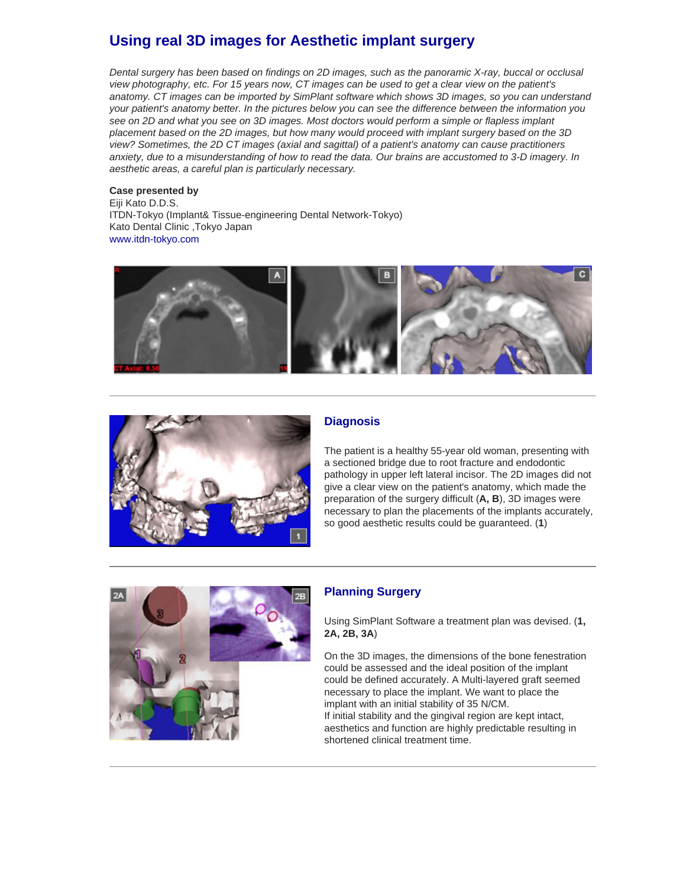# **Using real 3D images for Aesthetic implant surgery**

*Dental surgery has been based on findings on 2D images, such as the panoramic X-ray, buccal or occlusal view photography, etc. For 15 years now, CT images can be used to get a clear view on the patient's anatomy. CT images can be imported by SimPlant software which shows 3D images, so you can understand your patient's anatomy better. In the pictures below you can see the difference between the information you see on 2D and what you see on 3D images. Most doctors would perform a simple or flapless implant placement based on the 2D images, but how many would proceed with implant surgery based on the 3D view? Sometimes, the 2D CT images (axial and sagittal) of a patient's anatomy can cause practitioners anxiety, due to a misunderstanding of how to read the data. Our brains are accustomed to 3-D imagery. In aesthetic areas, a careful plan is particularly necessary.*

#### **Case presented by**

Eiji Kato D.D.S. ITDN-Tokyo (Implant& Tissue-engineering Dental Network-Tokyo) Kato Dental Clinic ,Tokyo Japan www.itdn-toky[o.com](http://www.itdn-tokyo.com/)





## **Diagnosis**

The patient is a healthy 55-year old woman, presenting with a sectioned bridge due to root fracture and endodontic pathology in upper left lateral incisor. The 2D images did not give a clear view on the patient's anatomy, which made the preparation of the surgery difficult (**A, B**), 3D images were necessary to plan the placements of the implants accurately, so good aesthetic results could be guaranteed. (**1**)



## **Planning Surgery**

Using SimPlant Software a treatment plan was devised. (**1, 2A, 2B, 3A**)

On the 3D images, the dimensions of the bone fenestration could be assessed and the ideal position of the implant could be defined accurately. A Multi-layered graft seemed necessary to place the implant. We want to place the implant with an initial stability of 35 N/CM. If initial stability and the gingival region are kept intact, aesthetics and function are highly predictable resulting in shortened clinical treatment time.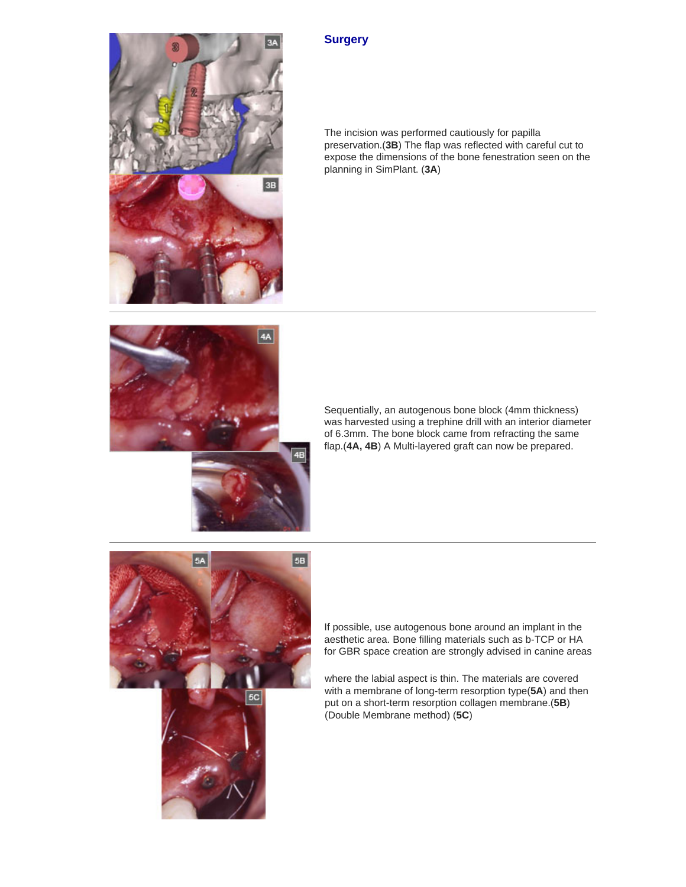





4B

Sequentially, an autogenous bone block (4mm thickness) was harvested using a trephine drill with an interior diameter of 6.3mm. The bone block came from refracting the same flap.(**4A, 4B**) A Multi-layered graft can now be prepared.



If possible, use autogenous bone around an implant in the aesthetic area. Bone filling materials such as b-TCP or HA for GBR space creation are strongly advised in canine areas

where the labial aspect is thin. The materials are covered with a membrane of long-term resorption type(**5A**) and then put on a short-term resorption collagen membrane.(**5B**) (Double Membrane method) (**5C**)

#### **Surgery**